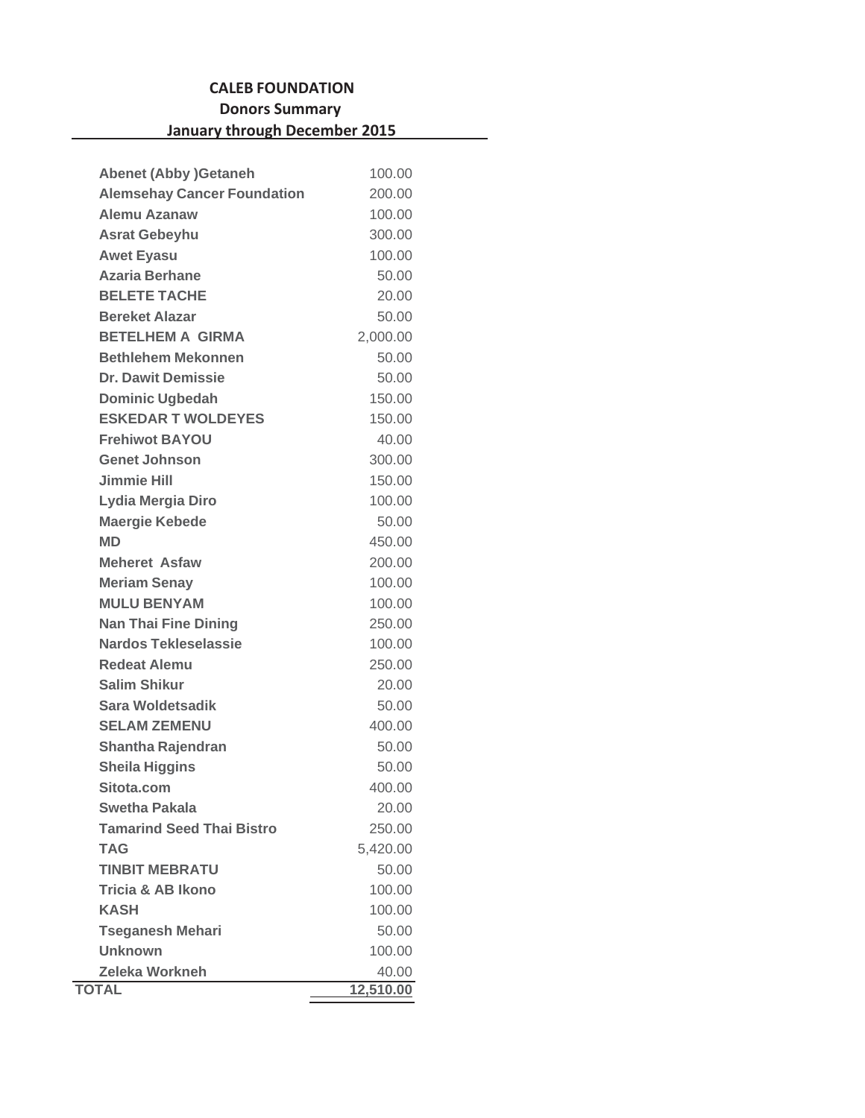## **CALEB FOUNDATION Donors Summary January through December 2015**

| <b>Abenet (Abby )Getaneh</b>       | 100.00    |
|------------------------------------|-----------|
| <b>Alemsehay Cancer Foundation</b> | 200.00    |
| Alemu Azanaw                       | 100.00    |
| <b>Asrat Gebeyhu</b>               | 300.00    |
| <b>Awet Eyasu</b>                  | 100.00    |
| <b>Azaria Berhane</b>              | 50.00     |
| <b>BELETE TACHE</b>                | 20.00     |
| <b>Bereket Alazar</b>              | 50.00     |
| <b>BETELHEM A GIRMA</b>            | 2,000.00  |
| <b>Bethlehem Mekonnen</b>          | 50.00     |
| <b>Dr. Dawit Demissie</b>          | 50.00     |
| <b>Dominic Ugbedah</b>             | 150.00    |
| <b>ESKEDAR T WOLDEYES</b>          | 150.00    |
| <b>Frehiwot BAYOU</b>              | 40.00     |
| <b>Genet Johnson</b>               | 300.00    |
| <b>Jimmie Hill</b>                 | 150.00    |
| Lydia Mergia Diro                  | 100.00    |
| <b>Maergie Kebede</b>              | 50.00     |
| <b>MD</b>                          | 450.00    |
| <b>Meheret Asfaw</b>               | 200.00    |
| <b>Meriam Senay</b>                | 100.00    |
| <b>MULU BENYAM</b>                 | 100.00    |
| <b>Nan Thai Fine Dining</b>        | 250.00    |
| Nardos Tekleselassie               | 100.00    |
| <b>Redeat Alemu</b>                | 250.00    |
| <b>Salim Shikur</b>                | 20.00     |
| Sara Woldetsadik                   | 50.00     |
| <b>SELAM ZEMENU</b>                | 400.00    |
| Shantha Rajendran                  | 50.00     |
| <b>Sheila Higgins</b>              | 50.00     |
| Sitota.com                         | 400.00    |
| <b>Swetha Pakala</b>               | 20.00     |
| <b>Tamarind Seed Thai Bistro</b>   | 250.00    |
| TAG                                | 5,420.00  |
| <b>TINBIT MEBRATU</b>              | 50.00     |
| <b>Tricia &amp; AB Ikono</b>       | 100.00    |
| <b>KASH</b>                        | 100.00    |
| <b>Tseganesh Mehari</b>            | 50.00     |
| <b>Unknown</b>                     | 100.00    |
| <b>Zeleka Workneh</b>              | 40.00     |
| <b>TOTAL</b>                       | 12,510.00 |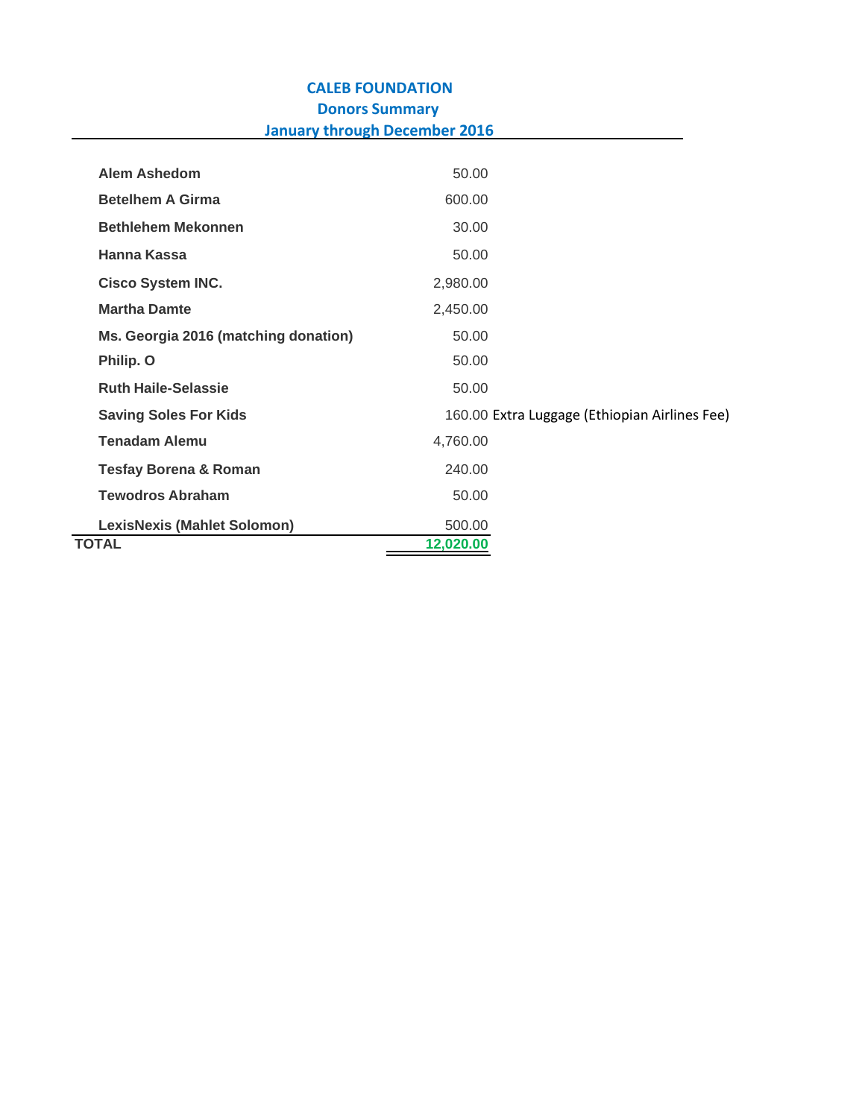## **CALEB FOUNDATION Donors Summary January through December 2016**

| <b>Alem Ashedom</b>                  | 50.00     |                                               |
|--------------------------------------|-----------|-----------------------------------------------|
| <b>Betelhem A Girma</b>              | 600.00    |                                               |
| <b>Bethlehem Mekonnen</b>            | 30.00     |                                               |
| Hanna Kassa                          | 50.00     |                                               |
| <b>Cisco System INC.</b>             | 2,980.00  |                                               |
| <b>Martha Damte</b>                  | 2,450.00  |                                               |
| Ms. Georgia 2016 (matching donation) | 50.00     |                                               |
| Philip. O                            | 50.00     |                                               |
| <b>Ruth Haile-Selassie</b>           | 50.00     |                                               |
| <b>Saving Soles For Kids</b>         |           | 160.00 Extra Luggage (Ethiopian Airlines Fee) |
| <b>Tenadam Alemu</b>                 | 4,760.00  |                                               |
| <b>Tesfay Borena &amp; Roman</b>     | 240.00    |                                               |
| <b>Tewodros Abraham</b>              | 50.00     |                                               |
| <b>LexisNexis (Mahlet Solomon)</b>   | 500.00    |                                               |
| <b>TOTAL</b>                         | 12,020.00 |                                               |
|                                      |           |                                               |